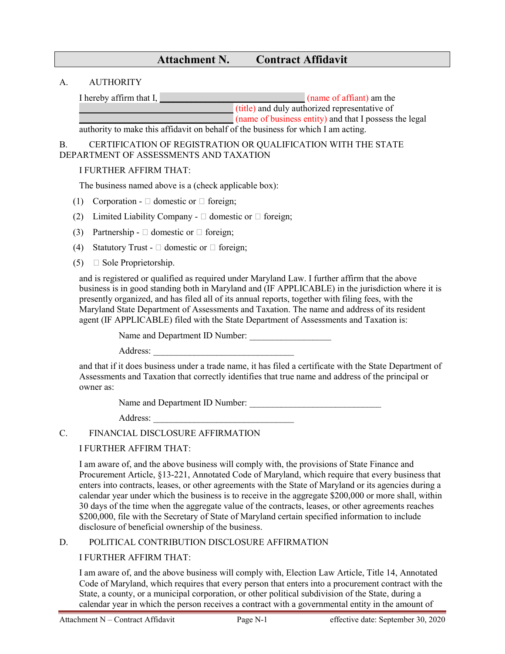# **Attachment N. Contract Affidavit**

### A. AUTHORITY

I hereby affirm that I, **\_\_\_\_\_\_\_\_\_\_\_\_\_\_\_\_\_\_\_\_\_\_\_\_\_\_\_\_\_\_\_\_** (name of affiant) am the

**Example 2.1** (title) and duly authorized representative of

**Example 2.1** (name of business entity) and that I possess the legal

authority to make this affidavit on behalf of the business for which I am acting.

## B. CERTIFICATION OF REGISTRATION OR QUALIFICATION WITH THE STATE DEPARTMENT OF ASSESSMENTS AND TAXATION

### I FURTHER AFFIRM THAT:

The business named above is a (check applicable box):

- (1) Corporation  $\Box$  domestic or  $\Box$  foreign;
- (2) Limited Liability Company  $\Box$  domestic or  $\Box$  foreign;
- (3) Partnership  $\Box$  domestic or  $\Box$  foreign;
- (4) Statutory Trust  $\Box$  domestic or  $\Box$  foreign;
- (5)  $\Box$  Sole Proprietorship.

and is registered or qualified as required under Maryland Law. I further affirm that the above business is in good standing both in Maryland and (IF APPLICABLE) in the jurisdiction where it is presently organized, and has filed all of its annual reports, together with filing fees, with the Maryland State Department of Assessments and Taxation. The name and address of its resident agent (IF APPLICABLE) filed with the State Department of Assessments and Taxation is:

Name and Department ID Number:

Address:

and that if it does business under a trade name, it has filed a certificate with the State Department of Assessments and Taxation that correctly identifies that true name and address of the principal or owner as:

Name and Department ID Number: \_\_\_\_\_\_\_\_\_\_\_\_\_\_\_\_\_\_\_\_\_\_\_\_\_\_\_\_\_

Address: \_\_\_\_\_\_\_\_\_\_\_\_\_\_\_\_\_\_\_\_\_\_\_\_\_\_\_\_\_\_\_

# C. FINANCIAL DISCLOSURE AFFIRMATION

#### I FURTHER AFFIRM THAT:

I am aware of, and the above business will comply with, the provisions of State Finance and Procurement Article, §13-221, Annotated Code of Maryland, which require that every business that enters into contracts, leases, or other agreements with the State of Maryland or its agencies during a calendar year under which the business is to receive in the aggregate \$200,000 or more shall, within 30 days of the time when the aggregate value of the contracts, leases, or other agreements reaches \$200,000, file with the Secretary of State of Maryland certain specified information to include disclosure of beneficial ownership of the business.

#### D. POLITICAL CONTRIBUTION DISCLOSURE AFFIRMATION

# I FURTHER AFFIRM THAT:

I am aware of, and the above business will comply with, Election Law Article, Title 14, Annotated Code of Maryland, which requires that every person that enters into a procurement contract with the State, a county, or a municipal corporation, or other political subdivision of the State, during a calendar year in which the person receives a contract with a governmental entity in the amount of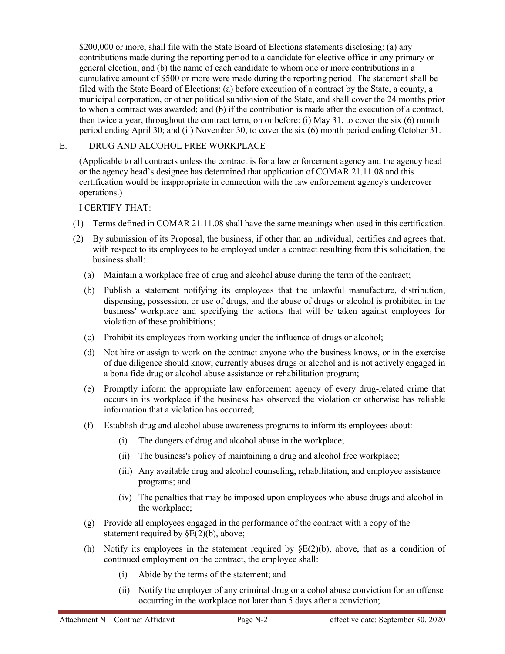\$200,000 or more, shall file with the State Board of Elections statements disclosing: (a) any contributions made during the reporting period to a candidate for elective office in any primary or general election; and (b) the name of each candidate to whom one or more contributions in a cumulative amount of \$500 or more were made during the reporting period. The statement shall be filed with the State Board of Elections: (a) before execution of a contract by the State, a county, a municipal corporation, or other political subdivision of the State, and shall cover the 24 months prior to when a contract was awarded; and (b) if the contribution is made after the execution of a contract, then twice a year, throughout the contract term, on or before: (i) May 31, to cover the six (6) month period ending April 30; and (ii) November 30, to cover the six (6) month period ending October 31.

# E. DRUG AND ALCOHOL FREE WORKPLACE

(Applicable to all contracts unless the contract is for a law enforcement agency and the agency head or the agency head's designee has determined that application of COMAR 21.11.08 and this certification would be inappropriate in connection with the law enforcement agency's undercover operations.)

# I CERTIFY THAT:

- (1) Terms defined in COMAR 21.11.08 shall have the same meanings when used in this certification.
- (2) By submission of its Proposal, the business, if other than an individual, certifies and agrees that, with respect to its employees to be employed under a contract resulting from this solicitation, the business shall:
	- (a) Maintain a workplace free of drug and alcohol abuse during the term of the contract;
	- (b) Publish a statement notifying its employees that the unlawful manufacture, distribution, dispensing, possession, or use of drugs, and the abuse of drugs or alcohol is prohibited in the business' workplace and specifying the actions that will be taken against employees for violation of these prohibitions;
	- (c) Prohibit its employees from working under the influence of drugs or alcohol;
	- (d) Not hire or assign to work on the contract anyone who the business knows, or in the exercise of due diligence should know, currently abuses drugs or alcohol and is not actively engaged in a bona fide drug or alcohol abuse assistance or rehabilitation program;
	- (e) Promptly inform the appropriate law enforcement agency of every drug-related crime that occurs in its workplace if the business has observed the violation or otherwise has reliable information that a violation has occurred;
	- (f) Establish drug and alcohol abuse awareness programs to inform its employees about:
		- (i) The dangers of drug and alcohol abuse in the workplace;
		- (ii) The business's policy of maintaining a drug and alcohol free workplace;
		- (iii) Any available drug and alcohol counseling, rehabilitation, and employee assistance programs; and
		- (iv) The penalties that may be imposed upon employees who abuse drugs and alcohol in the workplace;
	- (g) Provide all employees engaged in the performance of the contract with a copy of the statement required by §E(2)(b), above;
	- (h) Notify its employees in the statement required by  $\Sigma(2)(b)$ , above, that as a condition of continued employment on the contract, the employee shall:
		- (i) Abide by the terms of the statement; and
		- (ii) Notify the employer of any criminal drug or alcohol abuse conviction for an offense occurring in the workplace not later than 5 days after a conviction;